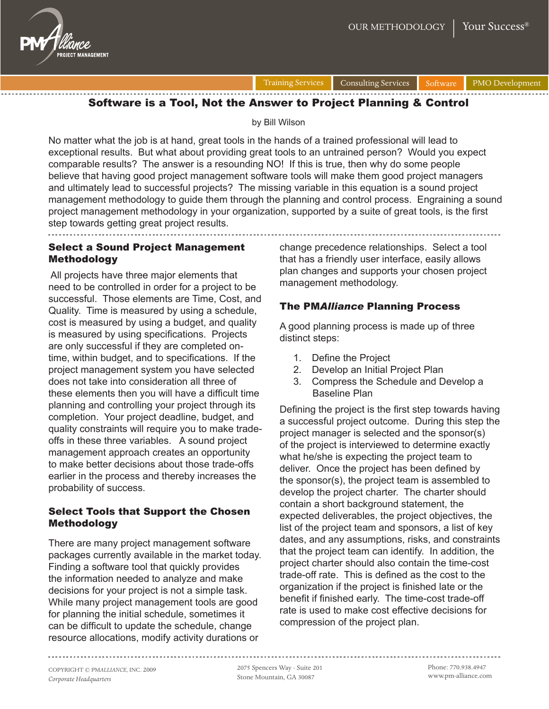



Training Services Consulting Services Software PMO Development

## Software is a Tool, Not the Answer to Project Planning & Control

by Bill Wilson

No matter what the job is at hand, great tools in the hands of a trained professional will lead to exceptional results. But what about providing great tools to an untrained person? Would you expect comparable results? The answer is a resounding NO! If this is true, then why do some people believe that having good project management software tools will make them good project managers and ultimately lead to successful projects? The missing variable in this equation is a sound project management methodology to guide them through the planning and control process. Engraining a sound project management methodology in your organization, supported by a suite of great tools, is the first step towards getting great project results.

## Select a Sound Project Management Methodology

 All projects have three major elements that need to be controlled in order for a project to be successful. Those elements are Time, Cost, and Quality. Time is measured by using a schedule, cost is measured by using a budget, and quality is measured by using specifications. Projects are only successful if they are completed ontime, within budget, and to specifications. If the project management system you have selected does not take into consideration all three of these elements then you will have a difficult time planning and controlling your project through its completion. Your project deadline, budget, and quality constraints will require you to make tradeoffs in these three variables. A sound project management approach creates an opportunity to make better decisions about those trade-offs earlier in the process and thereby increases the probability of success.

## Select Tools that Support the Chosen Methodology

There are many project management software packages currently available in the market today. Finding a software tool that quickly provides the information needed to analyze and make decisions for your project is not a simple task. While many project management tools are good for planning the initial schedule, sometimes it can be difficult to update the schedule, change resource allocations, modify activity durations or

change precedence relationships. Select a tool that has a friendly user interface, easily allows plan changes and supports your chosen project management methodology.

# The PM*Alliance* Planning Process

A good planning process is made up of three distinct steps:

- 1. Define the Project
- 2. Develop an Initial Project Plan
- 3. Compress the Schedule and Develop a Baseline Plan

Defining the project is the first step towards having a successful project outcome. During this step the project manager is selected and the sponsor(s) of the project is interviewed to determine exactly what he/she is expecting the project team to deliver. Once the project has been defined by the sponsor(s), the project team is assembled to develop the project charter. The charter should contain a short background statement, the expected deliverables, the project objectives, the list of the project team and sponsors, a list of key dates, and any assumptions, risks, and constraints that the project team can identify. In addition, the project charter should also contain the time-cost trade-off rate. This is defined as the cost to the organization if the project is finished late or the benefit if finished early. The time-cost trade-off rate is used to make cost effective decisions for compression of the project plan.